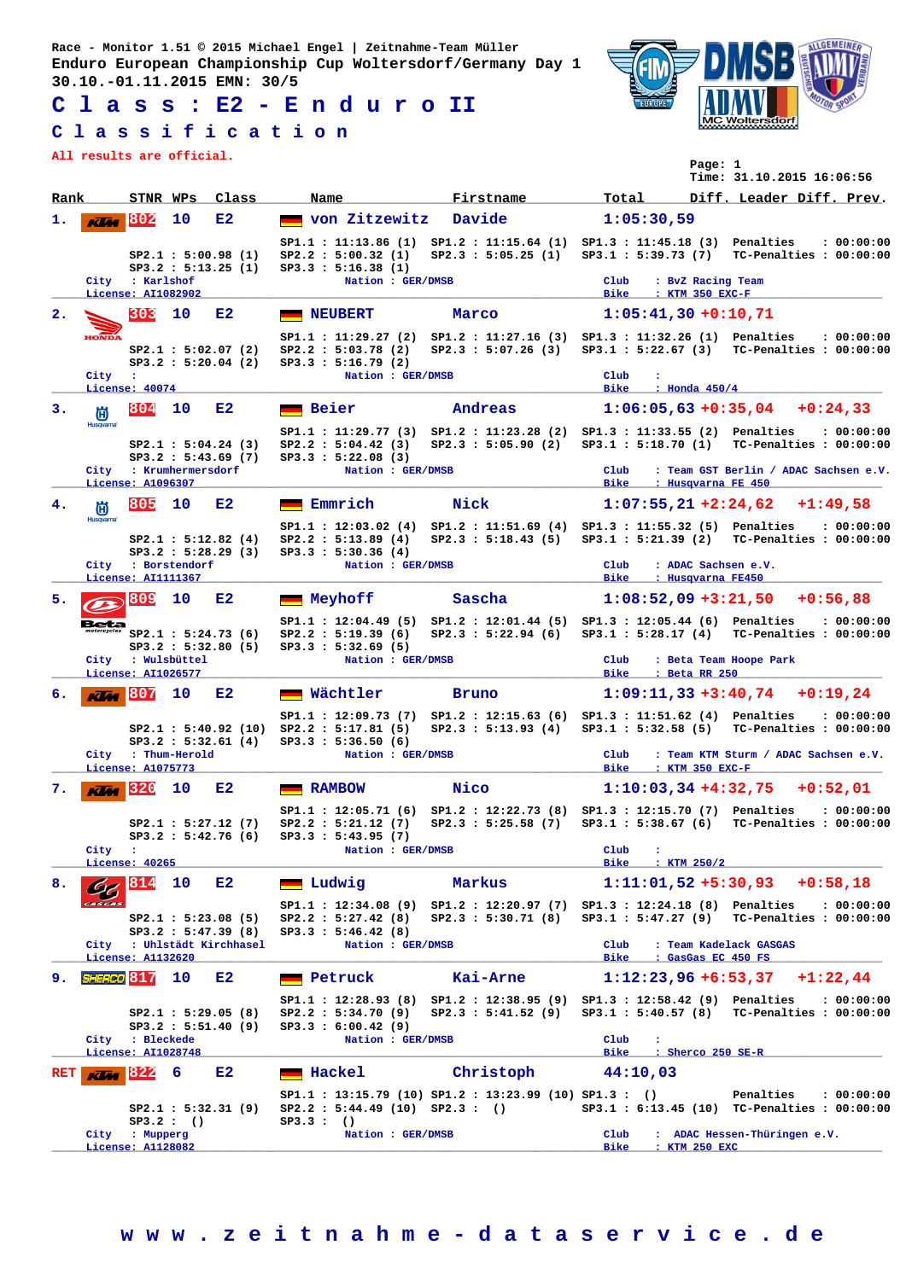**Race - Monitor 1.51 © 2015 Michael Engel | Zeitnahme-Team Müller Enduro European Championship Cup Woltersdorf/Germany Day 1 30.10.-01.11.2015 EMN: 30/5**

**C l a s s : E2 - E n d u r o II**

## **C l a s s i f i c a t i o n**

**All results are official.**



|                | All results are official.                                     |                                       |                    |                                           |                                                                   |                                                                                              |                                                        | Page: 1<br>Time: 31.10.2015 16:06:56                                                            |  |
|----------------|---------------------------------------------------------------|---------------------------------------|--------------------|-------------------------------------------|-------------------------------------------------------------------|----------------------------------------------------------------------------------------------|--------------------------------------------------------|-------------------------------------------------------------------------------------------------|--|
| Rank           |                                                               | STNR WPs                              |                    | Class                                     | Name                                                              | Firstname                                                                                    | Total                                                  | Diff. Leader Diff. Prev.                                                                        |  |
| 1.             | <b>Klia</b>                                                   | 802                                   | 10                 | E2                                        | von Zitzewitz                                                     | Davide                                                                                       | 1:05:30,59                                             |                                                                                                 |  |
|                |                                                               | City : Karlshof<br>License: AI1082902 |                    | SP2.1 : 5:00.98(1)<br>SP3.2 : 5:13.25 (1) | SP2.2 : 5:00.32(1)<br>SP3.3 : 5:16.38 (1)<br>Nation : GER/DMSB    | SP1.1: 11:13.86 (1) SP1.2: 11:15.64 (1) SP1.3: 11:45.18 (3) Penalties                        | $_{\rm Club}$<br><b>Bike</b><br>: KTM 350 EXC-F        | : 00:00:00<br>SP2.3: 5:05.25 (1) SP3.1: 5:39.73 (7) TC-Penalties: 00:00:00<br>: BvZ Racing Team |  |
| $\mathbf{2}$ . |                                                               | 303                                   | 10                 | E2                                        | <b>NEUBERT</b>                                                    | Marco                                                                                        | $1:05:41,30+0:10,71$                                   |                                                                                                 |  |
|                | <b>HOND</b>                                                   |                                       |                    | SP2.1 : 5:02.07(2)<br>SP3.2 : 5:20.04 (2) | SP2.2 : 5:03.78 (2)<br>SP3.3 : 5:16.79(2)<br>Nation : GER/DMSB    | SP1.1: 11:29.27 (2) SP1.2: 11:27.16 (3) SP1.3: 11:32.26 (1) Penalties<br>SP2.3 : 5:07.26(3)  | Club                                                   | : 00:00:00<br>SP3.1: 5:22.67 (3) TC-Penalties: 00:00:00                                         |  |
|                | City :<br>License: 40074                                      |                                       |                    |                                           |                                                                   |                                                                                              | <b>Bike</b><br>: Honda $450/4$                         |                                                                                                 |  |
| з.             | 尚                                                             | 804                                   | 10                 | E2                                        | Beier                                                             | Andreas                                                                                      |                                                        | $1:06:05,63+0:35,04$ +0:24,33                                                                   |  |
|                | <b>Husqvarna</b>                                              |                                       |                    | SP2.1 : 5:04.24 (3)<br>SP3.2 : 5:43.69(7) | SP2.2 : 5:04.42(3)<br>SP3.3 : 5:22.08 (3)                         | SP1.1: 11:29.77 (3) SP1.2: 11:23.28 (2) SP1.3: 11:33.55 (2) Penalties                        |                                                        | : 00:00:00<br>SP2.3: 5:05.90 (2) SP3.1: 5:18.70 (1) TC-Penalties: 00:00:00                      |  |
|                | City : Krumhermersdorf<br>License: A1096307                   |                                       |                    |                                           | Nation : GER/DMSB                                                 |                                                                                              | Club<br><b>Bike</b>                                    | : Team GST Berlin / ADAC Sachsen e.V.<br>: Husqvarna FE 450                                     |  |
| 4.             | 笝                                                             | 805                                   | 10                 | E2                                        | Emmrich                                                           | Nick                                                                                         |                                                        | $1:07:55,21+2:24,62+1:49,58$                                                                    |  |
|                | <b>Husqvarna</b>                                              |                                       |                    | SP2.1 : 5:12.82(4)<br>SP3.2 : 5:28.29 (3) | SP2.2 : 5:13.89(4)<br>SP3.3 : 5:30.36(4)                          | SP1.1: 12:03.02 (4) SP1.2: 11:51.69 (4) SP1.3: 11:55.32 (5) Penalties<br>SP2.3 : 5:18.43(5)  |                                                        | : 00:00:00<br>SP3.1 : 5:21.39 (2) TC-Penalties : 00:00:00                                       |  |
|                |                                                               | License: AI1111367                    | City : Borstendorf |                                           | Nation : GER/DMSB                                                 |                                                                                              | $_{\rm Club}$<br>Bike                                  | : ADAC Sachsen e.V.<br>: Husqvarna FE450                                                        |  |
| 5.             |                                                               | 809                                   | 10                 | E2                                        | Meyhoff                                                           | Sascha                                                                                       |                                                        | $1:08:52,09$ +3:21,50 +0:56,88                                                                  |  |
|                |                                                               |                                       |                    | SP2.1 : 5:24.73(6)                        | SP2.2 : 5:19.39(6)                                                | SP1.1: 12:04.49 (5) SP1.2: 12:01.44 (5) SP1.3: 12:05.44 (6) Penalties<br>SP2.3 : 5:22.94(6)  |                                                        | : 00:00:00<br>SP3.1 : 5:28.17 (4) TC-Penalties : 00:00:00                                       |  |
|                | SP3.2 : 5:32.80(5)<br>City : Wulsbüttel<br>License: AI1026577 |                                       |                    |                                           | SP3.3 : 5:32.69(5)<br>Nation : GER/DMSB                           |                                                                                              | Club<br>: Beta Team Hoope Park<br>Bike __: Beta RR 250 |                                                                                                 |  |
| б.             | Klaa                                                          | 1807                                  | 10                 | E2                                        | <b>Wächtler</b>                                                   | Bruno                                                                                        | $1:09:11,33+3:40,74$                                   | $+0:19.24$                                                                                      |  |
|                |                                                               |                                       |                    | SP3.2 : 5:32.61 (4)                       | $SP2.1 : 5:40.92 (10) SP2.2 : 5:17.81 (5)$<br>SP3.3 : 5:36.50 (6) | SP1.1: 12:09.73 (7) SP1.2: 12:15.63 (6) SP1.3: 11:51.62 (4) Penalties                        |                                                        | : 00:00:00<br>SP2.3: 5:13.93 (4) SP3.1: 5:32.58 (5) TC-Penalties: 00:00:00                      |  |
|                |                                                               | License: A1075773                     | City : Thum-Herold |                                           | Nation : GER/DMSB                                                 |                                                                                              | $_{\rm Club}$<br>Bike : KTM 350 EXC-F                  | : Team KTM Sturm / ADAC Sachsen e.V.                                                            |  |
| 7.             | Klia                                                          | 320                                   | 10                 | E2                                        | <b>RAMBOW</b>                                                     | Nico                                                                                         | $1:10:03,34+4:32,75$                                   | $+0:52,01$                                                                                      |  |
|                |                                                               |                                       |                    | SP2.1 : 5:27.12(7)                        | SP2.2 : 5:21.12 (7)<br>SP3.2 : 5:42.76 (6) SP3.3 : 5:43.95 (7)    | SP1.1: 12:05.71 (6) SP1.2: 12:22.73 (8) SP1.3: 12:15.70 (7) Penalties<br>SP2.3 : 5:25.58 (7) | SP3.1 : 5:38.67(6)                                     | : 00:00:00<br>TC-Penalties : 00:00:00                                                           |  |
|                | City :                                                        | License: 40265                        |                    |                                           | Nation : GER/DMSB                                                 |                                                                                              | $_{\text{Club}}$<br>٠.<br><b>Bike</b><br>: $KTM$ 250/2 |                                                                                                 |  |
| 8.             |                                                               | 814                                   | 10                 | E2                                        | Ludwig                                                            | Markus                                                                                       |                                                        | $1:11:01,52 +5:30,93 +0:58,18$                                                                  |  |
|                | <b>PAS CAS</b>                                                |                                       |                    | SP2.1 : 5:23.08(5)<br>SP3.2 : 5:47.39(8)  | SP2.2 : 5:27.42(8)<br>SP3.3 : 5:46.42(8)                          | SP1.1: 12:34.08 (9) SP1.2: 12:20.97 (7) SP1.3: 12:24.18 (8) Penalties                        |                                                        | : 00:00:00<br>SP2.3: 5:30.71 (8) SP3.1: 5:47.27 (9) TC-Penalties: 00:00:00                      |  |
|                | City : Uhlstädt Kirchhasel<br>License: A1132620               |                                       |                    |                                           | Nation : GER/DMSB                                                 |                                                                                              | $_{\rm Club}$<br>Bike                                  | : Team Kadelack GASGAS<br>: GasGas EC 450 FS                                                    |  |
| 9.             | SHERCO <sub>817</sub>                                         |                                       | 10                 | E2                                        | Petruck                                                           | Kai-Arne                                                                                     | $1:12:23,96 + 6:53,37$                                 | $+1:22,44$                                                                                      |  |
|                |                                                               | City : Bleckede                       |                    | SP2.1 : 5:29.05(8)<br>SP3.2 : 5:51.40(9)  | SP2.2 : 5:34.70(9)<br>SP3.3 : 6:00.42 (9)<br>Nation : GER/DMSB    | SP1.1: 12:28.93 (8) SP1.2: 12:38.95 (9) SP1.3: 12:58.42 (9) Penalties<br>SP2.3 : 5:41.52(9)  | $_{\rm Club}$                                          | : 00:00:00<br>SP3.1: 5:40.57 (8) TC-Penalties: 00:00:00                                         |  |
|                |                                                               | License: AI1028748                    | 6                  | E2                                        | Hackel                                                            | Christoph                                                                                    | Bike : Sherco 250 SE-R<br>44:10,03                     |                                                                                                 |  |
| RET            | <b>KUM</b>                                                    | 1822                                  |                    | SP2.1 : 5:32.31 (9)                       | $SP2.2$ : 5:44.49 (10) $SP2.3$ : ()                               | $SP1.1 : 13:15.79 (10) SP1.2 : 13:23.99 (10) SP1.3 : ()$                                     |                                                        | Penalties<br>: 00:00:00<br>SP3.1: 6:13.45 (10) TC-Penalties: 00:00:00                           |  |
|                |                                                               | City : Mupperg<br>License: A1128082   | SP3.2:()           |                                           | SP3.3:()<br>Nation : GER/DMSB                                     |                                                                                              | $_{\rm Club}$<br>Bike<br>: KTM 250 EXC                 | : ADAC Hessen-Thüringen e.V.                                                                    |  |